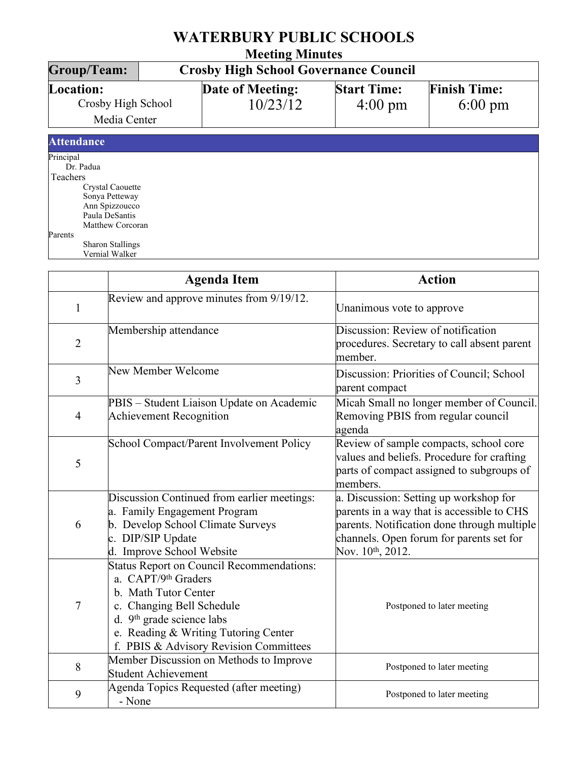| <b>WATERBURY PUBLIC SCHOOLS</b><br><b>Meeting Minutes</b>                                                                                   |  |                              |                                         |                                          |  |  |
|---------------------------------------------------------------------------------------------------------------------------------------------|--|------------------------------|-----------------------------------------|------------------------------------------|--|--|
|                                                                                                                                             |  |                              |                                         |                                          |  |  |
| Location:<br>Crosby High School<br>Media Center                                                                                             |  | Date of Meeting:<br>10/23/12 | <b>Start Time:</b><br>$4:00 \text{ pm}$ | <b>Finish Time:</b><br>$6:00 \text{ pm}$ |  |  |
| <b>Attendance</b>                                                                                                                           |  |                              |                                         |                                          |  |  |
| Principal<br>Dr. Padua<br>Teachers<br>Crystal Caouette<br>Sonya Petteway<br>Ann Spizzoucco<br>Paula DeSantis<br>Matthew Corcoran<br>Parents |  |                              |                                         |                                          |  |  |
| <b>Sharon Stallings</b><br>Vernial Walker                                                                                                   |  |                              |                                         |                                          |  |  |

|                | <b>Agenda Item</b>                                                                                                                                                                                                                               | <b>Action</b>                                                                                                                                                                                                    |
|----------------|--------------------------------------------------------------------------------------------------------------------------------------------------------------------------------------------------------------------------------------------------|------------------------------------------------------------------------------------------------------------------------------------------------------------------------------------------------------------------|
| 1              | Review and approve minutes from 9/19/12.                                                                                                                                                                                                         | Unanimous vote to approve                                                                                                                                                                                        |
| $\overline{2}$ | Membership attendance                                                                                                                                                                                                                            | Discussion: Review of notification<br>procedures. Secretary to call absent parent<br>member.                                                                                                                     |
| $\overline{3}$ | New Member Welcome                                                                                                                                                                                                                               | Discussion: Priorities of Council; School<br>parent compact                                                                                                                                                      |
| $\overline{4}$ | PBIS - Student Liaison Update on Academic<br>Achievement Recognition                                                                                                                                                                             | Micah Small no longer member of Council.<br>Removing PBIS from regular council<br>agenda                                                                                                                         |
| 5              | School Compact/Parent Involvement Policy                                                                                                                                                                                                         | Review of sample compacts, school core<br>values and beliefs. Procedure for crafting<br>parts of compact assigned to subgroups of<br>members.                                                                    |
| 6              | Discussion Continued from earlier meetings:<br>a. Family Engagement Program<br>b. Develop School Climate Surveys<br>c. DIP/SIP Update<br>d. Improve School Website                                                                               | a. Discussion: Setting up workshop for<br>parents in a way that is accessible to CHS<br>parents. Notification done through multiple<br>channels. Open forum for parents set for<br>Nov. 10 <sup>th</sup> , 2012. |
| $\overline{7}$ | Status Report on Council Recommendations:<br>a. CAPT/9th Graders<br>b. Math Tutor Center<br>c. Changing Bell Schedule<br>d. 9 <sup>th</sup> grade science labs<br>e. Reading & Writing Tutoring Center<br>f. PBIS & Advisory Revision Committees | Postponed to later meeting                                                                                                                                                                                       |
| 8              | Member Discussion on Methods to Improve<br>Student Achievement                                                                                                                                                                                   | Postponed to later meeting                                                                                                                                                                                       |
| 9              | Agenda Topics Requested (after meeting)<br>- None                                                                                                                                                                                                | Postponed to later meeting                                                                                                                                                                                       |